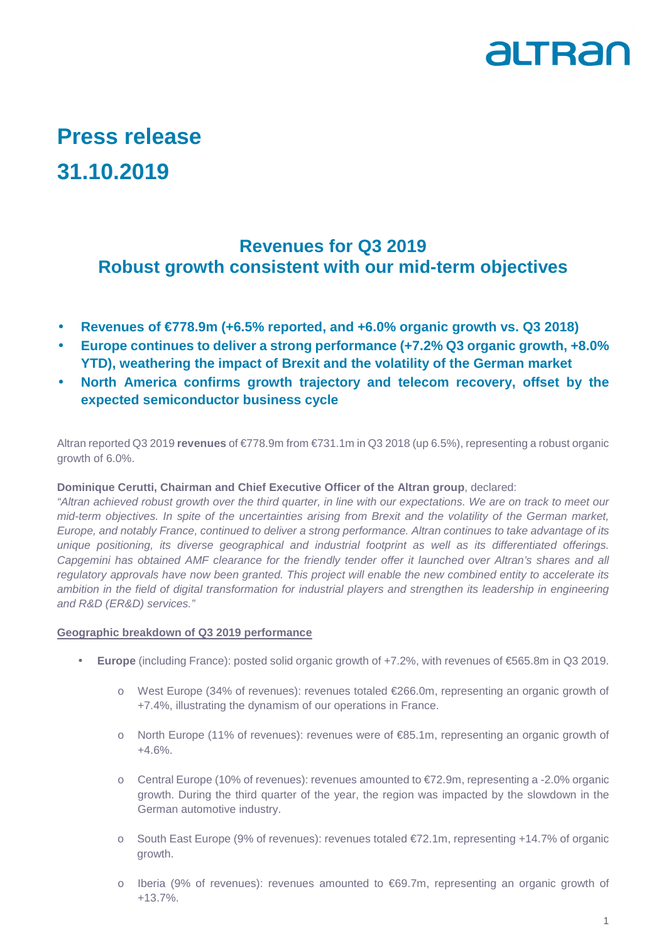

## **Press release 31.10.2019**

## **Revenues for Q3 2019 Robust growth consistent with our mid-term objectives**

- **Revenues of €778.9m (+6.5% reported, and +6.0% organic growth vs. Q3 2018)**
- **Europe continues to deliver a strong performance (+7.2% Q3 organic growth, +8.0% YTD), weathering the impact of Brexit and the volatility of the German market**
- **North America confirms growth trajectory and telecom recovery, offset by the expected semiconductor business cycle**

Altran reported Q3 2019 **revenues** of €778.9m from €731.1m in Q3 2018 (up 6.5%), representing a robust organic growth of 6.0%.

#### **Dominique Cerutti, Chairman and Chief Executive Officer of the Altran group**, declared:

"Altran achieved robust growth over the third quarter, in line with our expectations. We are on track to meet our mid-term objectives. In spite of the uncertainties arising from Brexit and the volatility of the German market, Europe, and notably France, continued to deliver a strong performance. Altran continues to take advantage of its unique positioning, its diverse geographical and industrial footprint as well as its differentiated offerings. Capgemini has obtained AMF clearance for the friendly tender offer it launched over Altran's shares and all regulatory approvals have now been granted. This project will enable the new combined entity to accelerate its ambition in the field of digital transformation for industrial players and strengthen its leadership in engineering and R&D (ER&D) services."

#### **Geographic breakdown of Q3 2019 performance**

- **Europe** (including France): posted solid organic growth of +7.2%, with revenues of €565.8m in Q3 2019.
	- o West Europe (34% of revenues): revenues totaled €266.0m, representing an organic growth of +7.4%, illustrating the dynamism of our operations in France.
	- o North Europe (11% of revenues): revenues were of €85.1m, representing an organic growth of +4.6%.
	- o Central Europe (10% of revenues): revenues amounted to €72.9m, representing a -2.0% organic growth. During the third quarter of the year, the region was impacted by the slowdown in the German automotive industry.
	- o South East Europe (9% of revenues): revenues totaled €72.1m, representing +14.7% of organic growth.
	- o Iberia (9% of revenues): revenues amounted to €69.7m, representing an organic growth of +13.7%.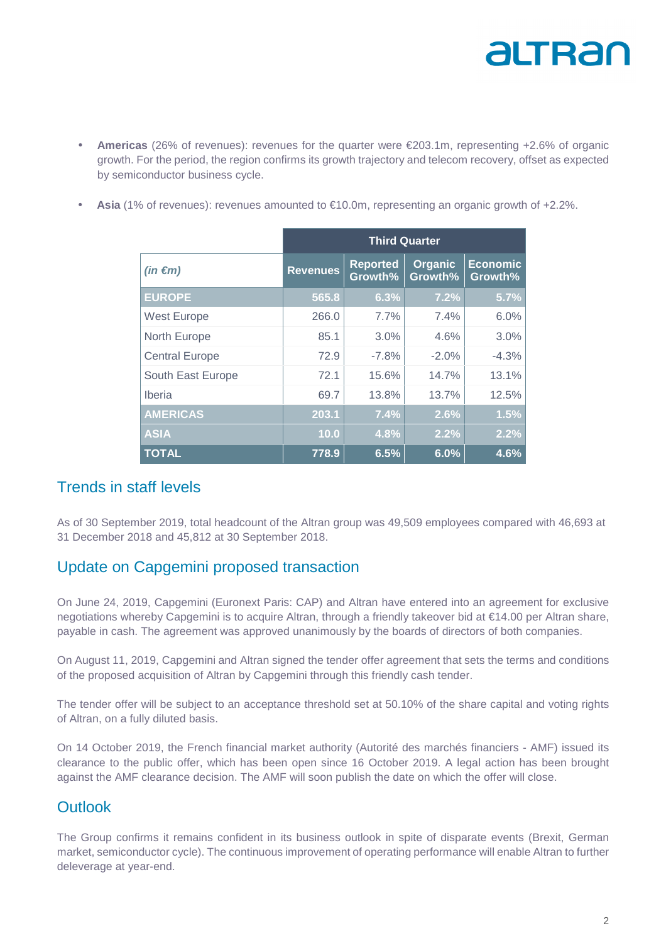# altran

- **Americas** (26% of revenues): revenues for the quarter were €203.1m, representing +2.6% of organic growth. For the period, the region confirms its growth trajectory and telecom recovery, offset as expected by semiconductor business cycle.
- **Asia** (1% of revenues): revenues amounted to €10.0m, representing an organic growth of +2.2%.

|                       | <b>Third Quarter</b> |                            |                    |                            |
|-----------------------|----------------------|----------------------------|--------------------|----------------------------|
| $(in \in m)$          | <b>Revenues</b>      | <b>Reported</b><br>Growth% | Organic<br>Growth% | <b>Economic</b><br>Growth% |
| <b>EUROPE</b>         | 565.8                | 6.3%                       | 7.2%               | 5.7%                       |
| <b>West Europe</b>    | 266.0                | 7.7%                       | 7.4%               | 6.0%                       |
| North Europe          | 85.1                 | 3.0%                       | 4.6%               | 3.0%                       |
| <b>Central Europe</b> | 72.9                 | $-7.8%$                    | $-2.0%$            | $-4.3%$                    |
| South East Europe     | 72.1                 | 15.6%                      | 14.7%              | 13.1%                      |
| Iberia                | 69.7                 | 13.8%                      | 13.7%              | 12.5%                      |
| <b>AMERICAS</b>       | 203.1                | 7.4%                       | 2.6%               | 1.5%                       |
| <b>ASIA</b>           | 10.0                 | 4.8%                       | 2.2%               | 2.2%                       |
| <b>TOTAL</b>          | 778.9                | 6.5%                       | 6.0%               | 4.6%                       |

## Trends in staff levels

As of 30 September 2019, total headcount of the Altran group was 49,509 employees compared with 46,693 at 31 December 2018 and 45,812 at 30 September 2018.

## Update on Capgemini proposed transaction

On June 24, 2019, Capgemini (Euronext Paris: CAP) and Altran have entered into an agreement for exclusive negotiations whereby Capgemini is to acquire Altran, through a friendly takeover bid at €14.00 per Altran share, payable in cash. The agreement was approved unanimously by the boards of directors of both companies.

On August 11, 2019, Capgemini and Altran signed the tender offer agreement that sets the terms and conditions of the proposed acquisition of Altran by Capgemini through this friendly cash tender.

The tender offer will be subject to an acceptance threshold set at 50.10% of the share capital and voting rights of Altran, on a fully diluted basis.

On 14 October 2019, the French financial market authority (Autorité des marchés financiers - AMF) issued its clearance to the public offer, which has been open since 16 October 2019. A legal action has been brought against the AMF clearance decision. The AMF will soon publish the date on which the offer will close.

## **Outlook**

The Group confirms it remains confident in its business outlook in spite of disparate events (Brexit, German market, semiconductor cycle). The continuous improvement of operating performance will enable Altran to further deleverage at year-end.